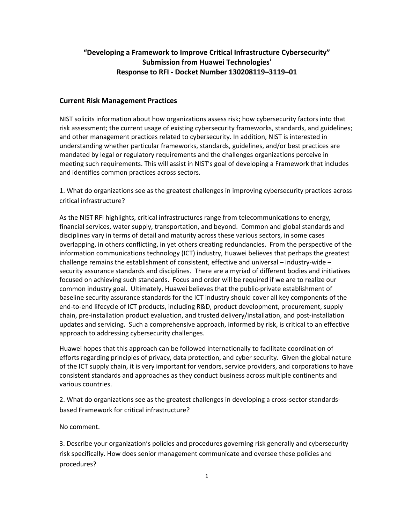# **"Developing a Framework to Improve Critical Infrastructure Cybersecurity" Submission from Huawei Technologies[i](#page-3-0) Response to RFI - Docket Number 130208119–3119–01**

### **Current Risk Management Practices**

NIST solicits information about how organizations assess risk; how cybersecurity factors into that risk assessment; the current usage of existing cybersecurity frameworks, standards, and guidelines; and other management practices related to cybersecurity. In addition, NIST is interested in understanding whether particular frameworks, standards, guidelines, and/or best practices are mandated by legal or regulatory requirements and the challenges organizations perceive in meeting such requirements. This will assist in NIST's goal of developing a Framework that includes and identifies common practices across sectors.

1. What do organizations see as the greatest challenges in improving cybersecurity practices across critical infrastructure?

As the NIST RFI highlights, critical infrastructures range from telecommunications to energy, financial services, water supply, transportation, and beyond. Common and global standards and disciplines vary in terms of detail and maturity across these various sectors, in some cases overlapping, in others conflicting, in yet others creating redundancies. From the perspective of the information communications technology (ICT) industry, Huawei believes that perhaps the greatest challenge remains the establishment of consistent, effective and universal – industry-wide – security assurance standards and disciplines. There are a myriad of different bodies and initiatives focused on achieving such standards. Focus and order will be required if we are to realize our common industry goal. Ultimately, Huawei believes that the public-private establishment of baseline security assurance standards for the ICT industry should cover all key components of the end-to-end lifecycle of ICT products, including R&D, product development, procurement, supply chain, pre-installation product evaluation, and trusted delivery/installation, and post-installation updates and servicing. Such a comprehensive approach, informed by risk, is critical to an effective approach to addressing cybersecurity challenges.

Huawei hopes that this approach can be followed internationally to facilitate coordination of efforts regarding principles of privacy, data protection, and cyber security. Given the global nature of the ICT supply chain, it is very important for vendors, service providers, and corporations to have consistent standards and approaches as they conduct business across multiple continents and various countries.

2. What do organizations see as the greatest challenges in developing a cross-sector standardsbased Framework for critical infrastructure?

No comment.

3. Describe your organization's policies and procedures governing risk generally and cybersecurity risk specifically. How does senior management communicate and oversee these policies and procedures?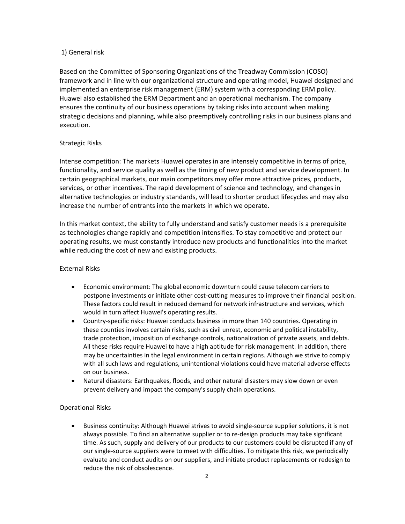### 1) General risk

Based on the Committee of Sponsoring Organizations of the Treadway Commission (COSO) framework and in line with our organizational structure and operating model, Huawei designed and implemented an enterprise risk management (ERM) system with a corresponding ERM policy. Huawei also established the ERM Department and an operational mechanism. The company ensures the continuity of our business operations by taking risks into account when making strategic decisions and planning, while also preemptively controlling risks in our business plans and execution.

### Strategic Risks

Intense competition: The markets Huawei operates in are intensely competitive in terms of price, functionality, and service quality as well as the timing of new product and service development. In certain geographical markets, our main competitors may offer more attractive prices, products, services, or other incentives. The rapid development of science and technology, and changes in alternative technologies or industry standards, will lead to shorter product lifecycles and may also increase the number of entrants into the markets in which we operate.

In this market context, the ability to fully understand and satisfy customer needs is a prerequisite as technologies change rapidly and competition intensifies. To stay competitive and protect our operating results, we must constantly introduce new products and functionalities into the market while reducing the cost of new and existing products.

### External Risks

- Economic environment: The global economic downturn could cause telecom carriers to postpone investments or initiate other cost-cutting measures to improve their financial position. These factors could result in reduced demand for network infrastructure and services, which would in turn affect Huawei's operating results.
- Country-specific risks: Huawei conducts business in more than 140 countries. Operating in these counties involves certain risks, such as civil unrest, economic and political instability, trade protection, imposition of exchange controls, nationalization of private assets, and debts. All these risks require Huawei to have a high aptitude for risk management. In addition, there may be uncertainties in the legal environment in certain regions. Although we strive to comply with all such laws and regulations, unintentional violations could have material adverse effects on our business.
- Natural disasters: Earthquakes, floods, and other natural disasters may slow down or even prevent delivery and impact the company's supply chain operations.

# Operational Risks

• Business continuity: Although Huawei strives to avoid single-source supplier solutions, it is not always possible. To find an alternative supplier or to re-design products may take significant time. As such, supply and delivery of our products to our customers could be disrupted if any of our single-source suppliers were to meet with difficulties. To mitigate this risk, we periodically evaluate and conduct audits on our suppliers, and initiate product replacements or redesign to reduce the risk of obsolescence.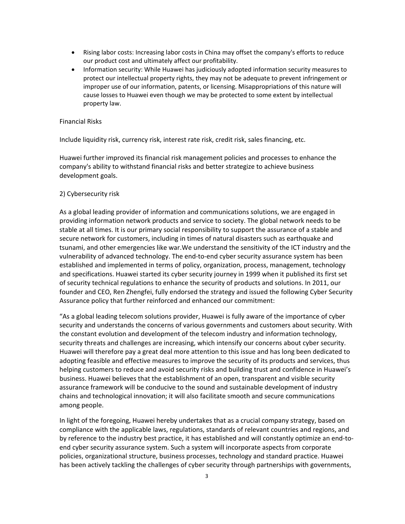- Rising labor costs: Increasing labor costs in China may offset the company's efforts to reduce our product cost and ultimately affect our profitability.
- Information security: While Huawei has judiciously adopted information security measures to protect our intellectual property rights, they may not be adequate to prevent infringement or improper use of our information, patents, or licensing. Misappropriations of this nature will cause losses to Huawei even though we may be protected to some extent by intellectual property law.

#### Financial Risks

Include liquidity risk, currency risk, interest rate risk, credit risk, sales financing, etc.

Huawei further improved its financial risk management policies and processes to enhance the company's ability to withstand financial risks and better strategize to achieve business development goals.

#### 2) Cybersecurity risk

As a global leading provider of information and communications solutions, we are engaged in providing information network products and service to society. The global network needs to be stable at all times. It is our primary social responsibility to support the assurance of a stable and secure network for customers, including in times of natural disasters such as earthquake and tsunami, and other emergencies like war.We understand the sensitivity of the ICT industry and the vulnerability of advanced technology. The end-to-end cyber security assurance system has been established and implemented in terms of policy, organization, process, management, technology and specifications. Huawei started its cyber security journey in 1999 when it published its first set of security technical regulations to enhance the security of products and solutions. In 2011, our founder and CEO, Ren Zhengfei, fully endorsed the strategy and issued the following Cyber Security Assurance policy that further reinforced and enhanced our commitment:

"As a global leading telecom solutions provider, Huawei is fully aware of the importance of cyber security and understands the concerns of various governments and customers about security. With the constant evolution and development of the telecom industry and information technology, security threats and challenges are increasing, which intensify our concerns about cyber security. Huawei will therefore pay a great deal more attention to this issue and has long been dedicated to adopting feasible and effective measures to improve the security of its products and services, thus helping customers to reduce and avoid security risks and building trust and confidence in Huawei's business. Huawei believes that the establishment of an open, transparent and visible security assurance framework will be conducive to the sound and sustainable development of industry chains and technological innovation; it will also facilitate smooth and secure communications among people.

In light of the foregoing, Huawei hereby undertakes that as a crucial company strategy, based on compliance with the applicable laws, regulations, standards of relevant countries and regions, and by reference to the industry best practice, it has established and will constantly optimize an end-toend cyber security assurance system. Such a system will incorporate aspects from corporate policies, organizational structure, business processes, technology and standard practice. Huawei has been actively tackling the challenges of cyber security through partnerships with governments,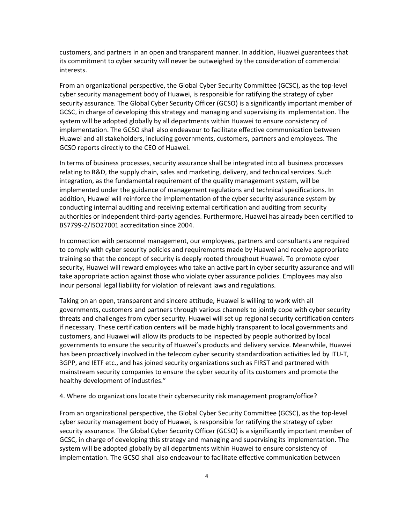customers, and partners in an open and transparent manner. In addition, Huawei guarantees that its commitment to cyber security will never be outweighed by the consideration of commercial interests.

From an organizational perspective, the Global Cyber Security Committee (GCSC), as the top-level cyber security management body of Huawei, is responsible for ratifying the strategy of cyber security assurance. The Global Cyber Security Officer (GCSO) is a significantly important member of GCSC, in charge of developing this strategy and managing and supervising its implementation. The system will be adopted globally by all departments within Huawei to ensure consistency of implementation. The GCSO shall also endeavour to facilitate effective communication between Huawei and all stakeholders, including governments, customers, partners and employees. The GCSO reports directly to the CEO of Huawei.

In terms of business processes, security assurance shall be integrated into all business processes relating to R&D, the supply chain, sales and marketing, delivery, and technical services. Such integration, as the fundamental requirement of the quality management system, will be implemented under the guidance of management regulations and technical specifications. In addition, Huawei will reinforce the implementation of the cyber security assurance system by conducting internal auditing and receiving external certification and auditing from security authorities or independent third-party agencies. Furthermore, Huawei has already been certified to BS7799-2/ISO27001 accreditation since 2004.

<span id="page-3-0"></span>In connection with personnel management, our employees, partners and consultants are required to comply with cyber security policies and requirements made by Huawei and receive appropriate training so that the concept of security is deeply rooted throughout Huawei. To promote cyber security, Huawei will reward employees who take an active part in cyber security assurance and will take appropriate action against those who violate cyber assurance policies. Employees may also incur personal legal liability for violation of relevant laws and regulations.

Taking on an open, transparent and sincere attitude, Huawei is willing to work with all governments, customers and partners through various channels to jointly cope with cyber security threats and challenges from cyber security. Huawei will set up regional security certification centers if necessary. These certification centers will be made highly transparent to local governments and customers, and Huawei will allow its products to be inspected by people authorized by local governments to ensure the security of Huawei's products and delivery service. Meanwhile, Huawei has been proactively involved in the telecom cyber security standardization activities led by ITU-T, 3GPP, and IETF etc., and has joined security organizations such as FIRST and partnered with mainstream security companies to ensure the cyber security of its customers and promote the healthy development of industries."

4. Where do organizations locate their cybersecurity risk management program/office?

From an organizational perspective, the Global Cyber Security Committee (GCSC), as the top-level cyber security management body of Huawei, is responsible for ratifying the strategy of cyber security assurance. The Global Cyber Security Officer (GCSO) is a significantly important member of GCSC, in charge of developing this strategy and managing and supervising its implementation. The system will be adopted globally by all departments within Huawei to ensure consistency of implementation. The GCSO shall also endeavour to facilitate effective communication between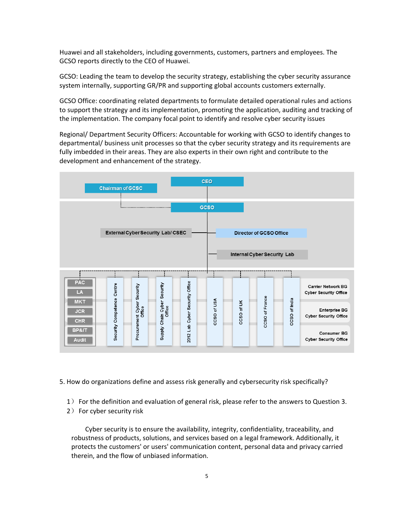Huawei and all stakeholders, including governments, customers, partners and employees. The GCSO reports directly to the CEO of Huawei.

GCSO: Leading the team to develop the security strategy, establishing the cyber security assurance system internally, supporting GR/PR and supporting global accounts customers externally.

GCSO Office: coordinating related departments to formulate detailed operational rules and actions to support the strategy and its implementation, promoting the application, auditing and tracking of the implementation. The company focal point to identify and resolve cyber security issues

Regional/ Department Security Officers: Accountable for working with GCSO to identify changes to departmental/ business unit processes so that the cyber security strategy and its requirements are fully imbedded in their areas. They are also experts in their own right and contribute to the development and enhancement of the strategy.



- 5. How do organizations define and assess risk generally and cybersecurity risk specifically?
	- 1) For the definition and evaluation of general risk, please refer to the answers to Question 3.
	- 2) For cyber security risk

Cyber security is to ensure the availability, integrity, confidentiality, traceability, and robustness of products, solutions, and services based on a legal framework. Additionally, it protects the customers' or users' communication content, personal data and privacy carried therein, and the flow of unbiased information.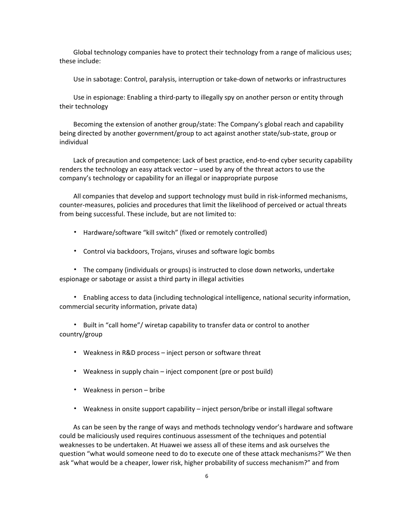Global technology companies have to protect their technology from a range of malicious uses; these include:

Use in sabotage: Control, paralysis, interruption or take-down of networks or infrastructures

Use in espionage: Enabling a third-party to illegally spy on another person or entity through their technology

Becoming the extension of another group/state: The Company's global reach and capability being directed by another government/group to act against another state/sub-state, group or individual

Lack of precaution and competence: Lack of best practice, end-to-end cyber security capability renders the technology an easy attack vector – used by any of the threat actors to use the company's technology or capability for an illegal or inappropriate purpose

All companies that develop and support technology must build in risk-informed mechanisms, counter-measures, policies and procedures that limit the likelihood of perceived or actual threats from being successful. These include, but are not limited to:

- Hardware/software "kill switch" (fixed or remotely controlled)
- Control via backdoors, Trojans, viruses and software logic bombs

• The company (individuals or groups) is instructed to close down networks, undertake espionage or sabotage or assist a third party in illegal activities

• Enabling access to data (including technological intelligence, national security information, commercial security information, private data)

• Built in "call home"/ wiretap capability to transfer data or control to another country/group

- Weakness in R&D process inject person or software threat
- Weakness in supply chain inject component (pre or post build)
- Weakness in person bribe
- Weakness in onsite support capability inject person/bribe or install illegal software

As can be seen by the range of ways and methods technology vendor's hardware and software could be maliciously used requires continuous assessment of the techniques and potential weaknesses to be undertaken. At Huawei we assess all of these items and ask ourselves the question "what would someone need to do to execute one of these attack mechanisms?" We then ask "what would be a cheaper, lower risk, higher probability of success mechanism?" and from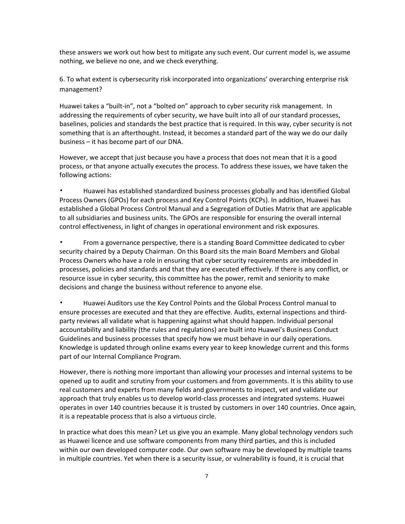these answers we work out how best to mitigate any such event. Our current model is, we assume nothing, we believe no one, and we check everything.

6. To what extent is cybersecurity risk incorporated into organizations' overarching enterprise risk management?

Huawei takes a "built-in", not a "bolted on" approach to cyber security risk management. In addressing the requirements of cyber security, we have built into all of our standard processes, baselines, policies and standards the best practice that is required. In this way, cyber security is not something that is an afterthought. Instead, it becomes a standard part of the way we do our daily business – it has become part of our DNA.

However, we accept that just because you have a process that does not mean that it is a good process, or that anyone actually executes the process. To address these issues, we have taken the following actions:

• Huawei has established standardized business processes globally and has identified Global Process Owners (GPOs) for each process and Key Control Points (KCPs). In addition, Huawei has established a Global Process Control Manual and a Segregation of Duties Matrix that are applicable to all subsidiaries and business units. The GPOs are responsible for ensuring the overall internal control effectiveness, in light of changes in operational environment and risk exposures.

• From a governance perspective, there is a standing Board Committee dedicated to cyber security chaired by a Deputy Chairman. On this Board sits the main Board Members and Global Process Owners who have a role in ensuring that cyber security requirements are imbedded in processes, policies and standards and that they are executed effectively. If there is any conflict, or resource issue in cyber security, this committee has the power, remit and seniority to make decisions and change the business without reference to anyone else.

• Huawei Auditors use the Key Control Points and the Global Process Control manual to ensure processes are executed and that they are effective. Audits, external inspections and thirdparty reviews all validate what is happening against what should happen. Individual personal accountability and liability (the rules and regulations) are built into Huawei's Business Conduct Guidelines and business processes that specify how we must behave in our daily operations. Knowledge is updated through online exams every year to keep knowledge current and this forms part of our Internal Compliance Program.

However, there is nothing more important than allowing your processes and internal systems to be opened up to audit and scrutiny from your customers and from governments. It is this ability to use real customers and experts from many fields and governments to inspect, vet and validate our approach that truly enables us to develop world-class processes and integrated systems. Huawei operates in over 140 countries because it is trusted by customers in over 140 countries. Once again, it is a repeatable process that is also a virtuous circle.

In practice what does this mean? Let us give you an example. Many global technology vendors such as Huawei licence and use software components from many third parties, and this is included within our own developed computer code. Our own software may be developed by multiple teams in multiple countries. Yet when there is a security issue, or vulnerability is found, it is crucial that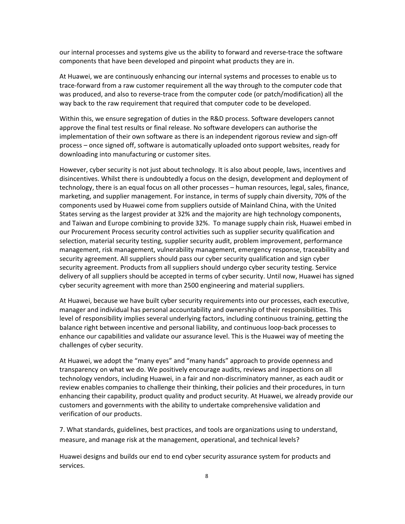our internal processes and systems give us the ability to forward and reverse-trace the software components that have been developed and pinpoint what products they are in.

At Huawei, we are continuously enhancing our internal systems and processes to enable us to trace-forward from a raw customer requirement all the way through to the computer code that was produced, and also to reverse-trace from the computer code (or patch/modification) all the way back to the raw requirement that required that computer code to be developed.

Within this, we ensure segregation of duties in the R&D process. Software developers cannot approve the final test results or final release. No software developers can authorise the implementation of their own software as there is an independent rigorous review and sign-off process – once signed off, software is automatically uploaded onto support websites, ready for downloading into manufacturing or customer sites.

However, cyber security is not just about technology. It is also about people, laws, incentives and disincentives. Whilst there is undoubtedly a focus on the design, development and deployment of technology, there is an equal focus on all other processes – human resources, legal, sales, finance, marketing, and supplier management. For instance, in terms of supply chain diversity, 70% of the components used by Huawei come from suppliers outside of Mainland China, with the United States serving as the largest provider at 32% and the majority are high technology components, and Taiwan and Europe combining to provide 32%. To manage supply chain risk, Huawei embed in our Procurement Process security control activities such as supplier security qualification and selection, material security testing, supplier security audit, problem improvement, performance management, risk management, vulnerability management, emergency response, traceability and security agreement. All suppliers should pass our cyber security qualification and sign cyber security agreement. Products from all suppliers should undergo cyber security testing. Service delivery of all suppliers should be accepted in terms of cyber security. Until now, Huawei has signed cyber security agreement with more than 2500 engineering and material suppliers.

At Huawei, because we have built cyber security requirements into our processes, each executive, manager and individual has personal accountability and ownership of their responsibilities. This level of responsibility implies several underlying factors, including continuous training, getting the balance right between incentive and personal liability, and continuous loop-back processes to enhance our capabilities and validate our assurance level. This is the Huawei way of meeting the challenges of cyber security.

At Huawei, we adopt the "many eyes" and "many hands" approach to provide openness and transparency on what we do. We positively encourage audits, reviews and inspections on all technology vendors, including Huawei, in a fair and non-discriminatory manner, as each audit or review enables companies to challenge their thinking, their policies and their procedures, in turn enhancing their capability, product quality and product security. At Huawei, we already provide our customers and governments with the ability to undertake comprehensive validation and verification of our products.

7. What standards, guidelines, best practices, and tools are organizations using to understand, measure, and manage risk at the management, operational, and technical levels?

Huawei designs and builds our end to end cyber security assurance system for products and services.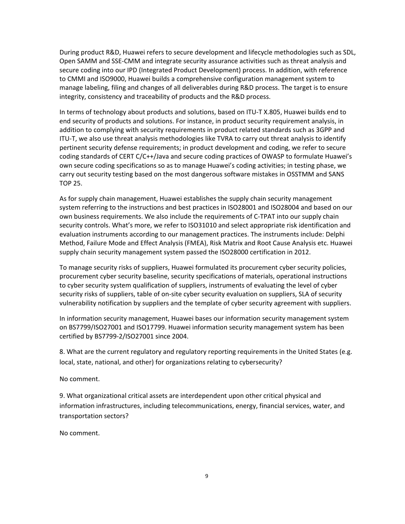During product R&D, Huawei refers to secure development and lifecycle methodologies such as SDL, Open SAMM and SSE-CMM and integrate security assurance activities such as threat analysis and secure coding into our IPD (Integrated Product Development) process. In addition, with reference to CMMI and ISO9000, Huawei builds a comprehensive configuration management system to manage labeling, filing and changes of all deliverables during R&D process. The target is to ensure integrity, consistency and traceability of products and the R&D process.

In terms of technology about products and solutions, based on ITU-T X.805, Huawei builds end to end security of products and solutions. For instance, in product security requirement analysis, in addition to complying with security requirements in product related standards such as 3GPP and ITU-T, we also use threat analysis methodologies like TVRA to carry out threat analysis to identify pertinent security defense requirements; in product development and coding, we refer to secure coding standards of CERT C/C++/Java and secure coding practices of OWASP to formulate Huawei's own secure coding specifications so as to manage Huawei's coding activities; in testing phase, we carry out security testing based on the most dangerous software mistakes in OSSTMM and SANS TOP 25.

As for supply chain management, Huawei establishes the supply chain security management system referring to the instructions and best practices in ISO28001 and ISO28004 and based on our own business requirements. We also include the requirements of C-TPAT into our supply chain security controls. What's more, we refer to ISO31010 and select appropriate risk identification and evaluation instruments according to our management practices. The instruments include: Delphi Method, Failure Mode and Effect Analysis (FMEA), Risk Matrix and Root Cause Analysis etc. Huawei supply chain security management system passed the ISO28000 certification in 2012.

To manage security risks of suppliers, Huawei formulated its procurement cyber security policies, procurement cyber security baseline, security specifications of materials, operational instructions to cyber security system qualification of suppliers, instruments of evaluating the level of cyber security risks of suppliers, table of on-site cyber security evaluation on suppliers, SLA of security vulnerability notification by suppliers and the template of cyber security agreement with suppliers.

In information security management, Huawei bases our information security management system on BS7799/ISO27001 and ISO17799. Huawei information security management system has been certified by BS7799-2/ISO27001 since 2004.

8. What are the current regulatory and regulatory reporting requirements in the United States (e.g. local, state, national, and other) for organizations relating to cybersecurity?

No comment.

9. What organizational critical assets are interdependent upon other critical physical and information infrastructures, including telecommunications, energy, financial services, water, and transportation sectors?

No comment.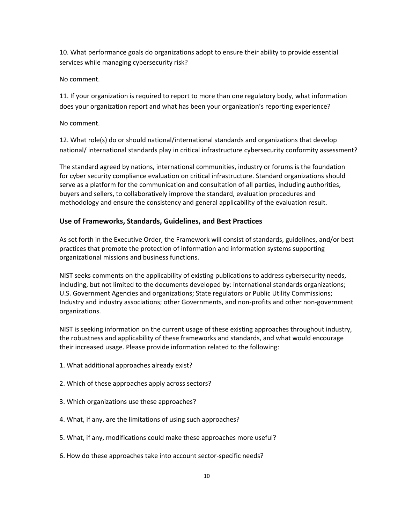10. What performance goals do organizations adopt to ensure their ability to provide essential services while managing cybersecurity risk?

No comment.

11. If your organization is required to report to more than one regulatory body, what information does your organization report and what has been your organization's reporting experience?

No comment.

12. What role(s) do or should national/international standards and organizations that develop national/ international standards play in critical infrastructure cybersecurity conformity assessment?

The standard agreed by nations, international communities, industry or forums is the foundation for cyber security compliance evaluation on critical infrastructure. Standard organizations should serve as a platform for the communication and consultation of all parties, including authorities, buyers and sellers, to collaboratively improve the standard, evaluation procedures and methodology and ensure the consistency and general applicability of the evaluation result.

# **Use of Frameworks, Standards, Guidelines, and Best Practices**

As set forth in the Executive Order, the Framework will consist of standards, guidelines, and/or best practices that promote the protection of information and information systems supporting organizational missions and business functions.

NIST seeks comments on the applicability of existing publications to address cybersecurity needs, including, but not limited to the documents developed by: international standards organizations; U.S. Government Agencies and organizations; State regulators or Public Utility Commissions; Industry and industry associations; other Governments, and non-profits and other non-government organizations.

NIST is seeking information on the current usage of these existing approaches throughout industry, the robustness and applicability of these frameworks and standards, and what would encourage their increased usage. Please provide information related to the following:

- 1. What additional approaches already exist?
- 2. Which of these approaches apply across sectors?
- 3. Which organizations use these approaches?
- 4. What, if any, are the limitations of using such approaches?
- 5. What, if any, modifications could make these approaches more useful?
- 6. How do these approaches take into account sector-specific needs?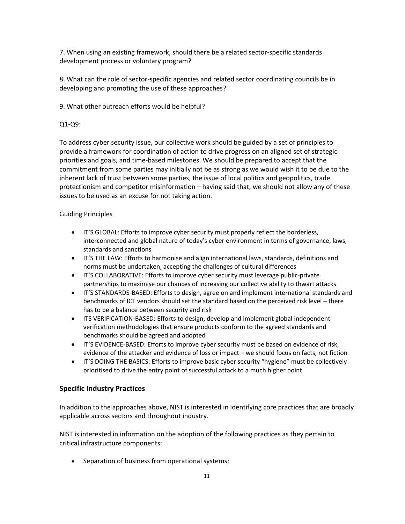7. When using an existing framework, should there be a related sector-specific standards development process or voluntary program?

8. What can the role of sector-specific agencies and related sector coordinating councils be in developing and promoting the use of these approaches?

9. What other outreach efforts would be helpful?

### Q1-Q9:

To address cyber security issue, our collective work should be guided by a set of principles to provide a framework for coordination of action to drive progress on an aligned set of strategic priorities and goals, and time-based milestones. We should be prepared to accept that the commitment from some parties may initially not be as strong as we would wish it to be due to the inherent lack of trust between some parties, the issue of local politics and geopolitics, trade protectionism and competitor misinformation – having said that, we should not allow any of these issues to be used as an excuse for not taking action.

### Guiding Principles

- IT'S GLOBAL: Efforts to improve cyber security must properly reflect the borderless, interconnected and global nature of today's cyber environment in terms of governance, laws, standards and sanctions
- IT'S THE LAW: Efforts to harmonise and align international laws, standards, definitions and norms must be undertaken, accepting the challenges of cultural differences
- IT'S COLLABORATIVE: Efforts to improve cyber security must leverage public-private partnerships to maximise our chances of increasing our collective ability to thwart attacks
- IT'S STANDARDS-BASED: Efforts to design, agree on and implement international standards and benchmarks of ICT vendors should set the standard based on the perceived risk level – there has to be a balance between security and risk
- ITS VERIFICATION-BASED: Efforts to design, develop and implement global independent verification methodologies that ensure products conform to the agreed standards and benchmarks should be agreed and adopted
- IT'S EVIDENCE-BASED: Efforts to improve cyber security must be based on evidence of risk, evidence of the attacker and evidence of loss or impact – we should focus on facts, not fiction
- IT'S DOING THE BASICS: Efforts to improve basic cyber security "hygiene" must be collectively prioritised to drive the entry point of successful attack to a much higher point

# **Specific Industry Practices**

In addition to the approaches above, NIST is interested in identifying core practices that are broadly applicable across sectors and throughout industry.

NIST is interested in information on the adoption of the following practices as they pertain to critical infrastructure components:

• Separation of business from operational systems;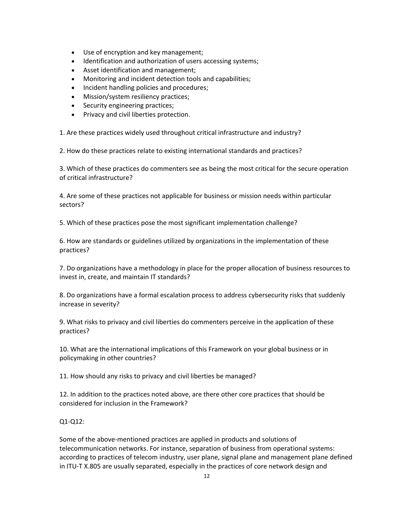- Use of encryption and key management;
- Identification and authorization of users accessing systems;
- Asset identification and management;
- Monitoring and incident detection tools and capabilities;
- Incident handling policies and procedures;
- Mission/system resiliency practices;
- Security engineering practices;
- Privacy and civil liberties protection.

1. Are these practices widely used throughout critical infrastructure and industry?

2. How do these practices relate to existing international standards and practices?

3. Which of these practices do commenters see as being the most critical for the secure operation of critical infrastructure?

4. Are some of these practices not applicable for business or mission needs within particular sectors?

5. Which of these practices pose the most significant implementation challenge?

6. How are standards or guidelines utilized by organizations in the implementation of these practices?

7. Do organizations have a methodology in place for the proper allocation of business resources to invest in, create, and maintain IT standards?

8. Do organizations have a formal escalation process to address cybersecurity risks that suddenly increase in severity?

9. What risks to privacy and civil liberties do commenters perceive in the application of these practices?

10. What are the international implications of this Framework on your global business or in policymaking in other countries?

11. How should any risks to privacy and civil liberties be managed?

12. In addition to the practices noted above, are there other core practices that should be considered for inclusion in the Framework?

### Q1-Q12:

Some of the above-mentioned practices are applied in products and solutions of telecommunication networks. For instance, separation of business from operational systems: according to practices of telecom industry, user plane, signal plane and management plane defined in ITU-T X.805 are usually separated, especially in the practices of core network design and